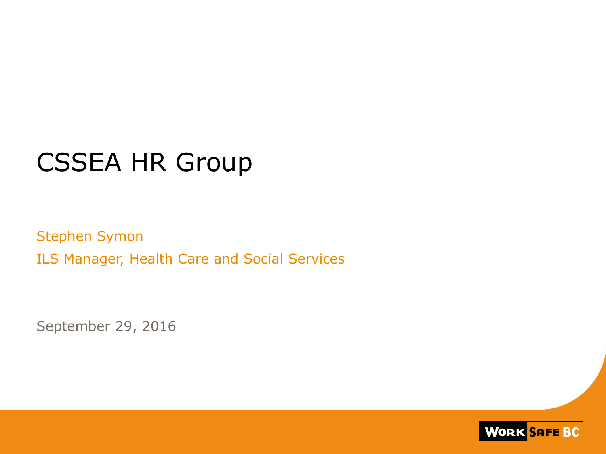## CSSEA HR Group

Stephen Symon ILS Manager, Health Care and Social Services

September 29, 2016

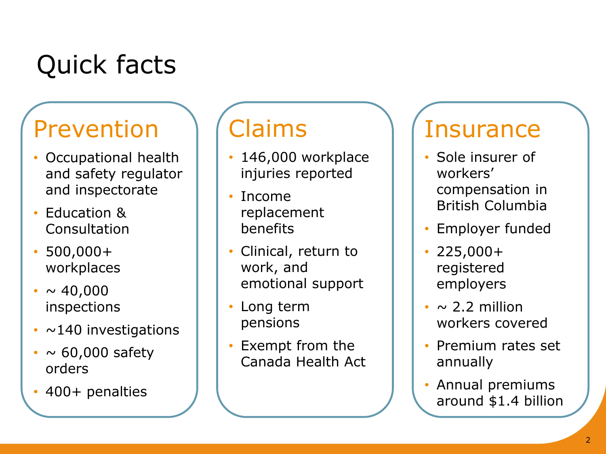# Quick facts

### Prevention

- Occupational health and safety regulator and inspectorate
- Education & Consultation
- $500,000+$ workplaces
- $\sim 40,000$ inspections
- $\cdot$  ~140 investigations
- $\cdot \sim 60,000$  safety orders
- 400+ penalties

## Claims

- 146,000 workplace injuries reported
- Income replacement benefits
- Clinical, return to work, and emotional support
- Long term pensions
- Exempt from the Canada Health Act

#### **Insurance**

- Sole insurer of workers' compensation in British Columbia
- Employer funded
- 225,000+ registered employers
- $\cdot \sim$  2.2 million workers covered
- Premium rates set annually
- Annual premiums around \$1.4 billion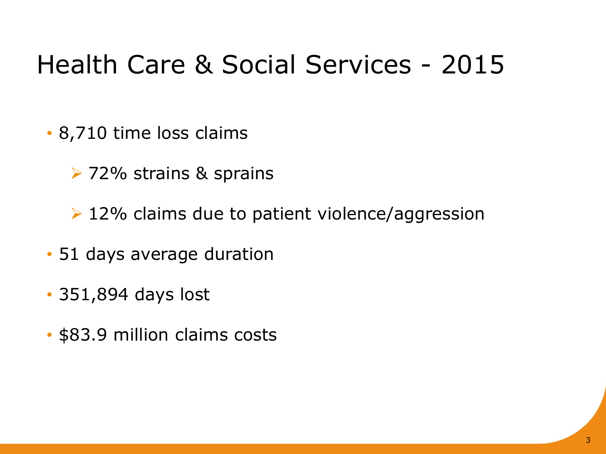## Health Care & Social Services - 2015

- 8,710 time loss claims
	- **▶ 72% strains & sprains**
	- $\geq 12\%$  claims due to patient violence/aggression
- 51 days average duration
- 351,894 days lost
- \$83.9 million claims costs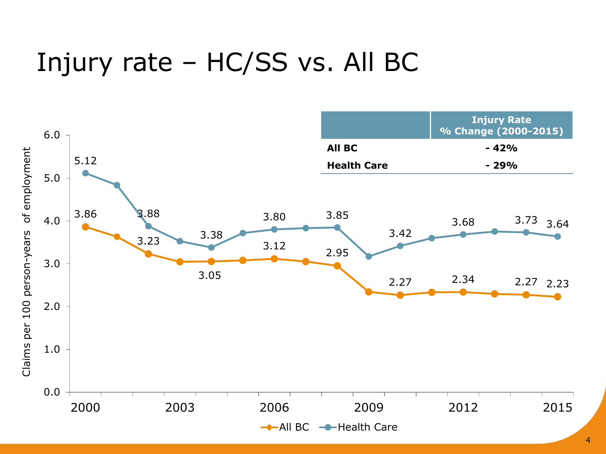## Injury rate – HC/SS vs. All BC

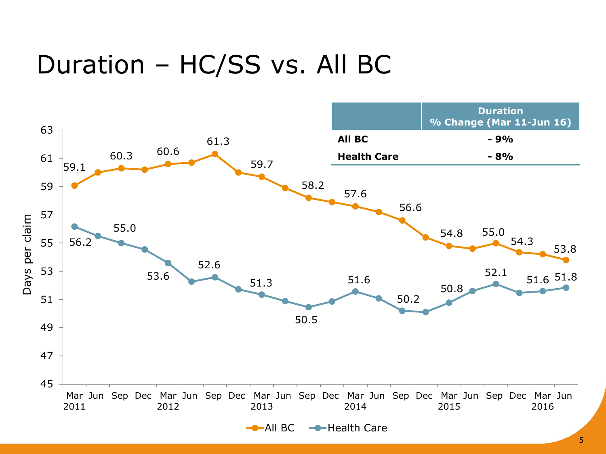### Duration – HC/SS vs. All BC

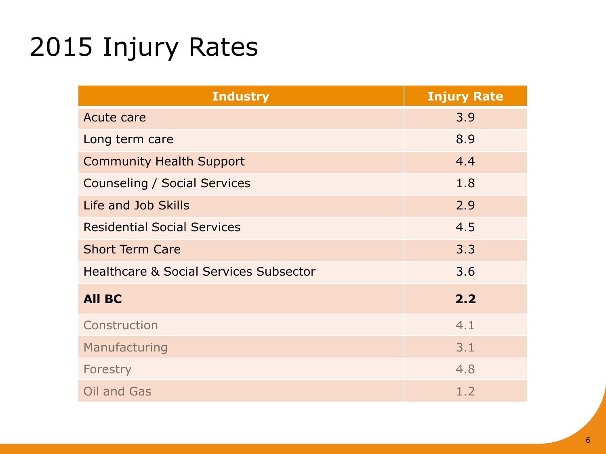# 2015 Injury Rates

| <b>Industry</b>                                   | <b>Injury Rate</b> |  |
|---------------------------------------------------|--------------------|--|
| Acute care                                        | 3.9                |  |
| Long term care                                    | 8.9                |  |
| <b>Community Health Support</b>                   | 4.4                |  |
| Counseling / Social Services                      | 1.8                |  |
| Life and Job Skills                               | 2.9                |  |
| <b>Residential Social Services</b>                | 4.5                |  |
| <b>Short Term Care</b>                            | 3.3                |  |
| <b>Healthcare &amp; Social Services Subsector</b> | 3.6                |  |
| <b>All BC</b>                                     | 2.2                |  |
| Construction                                      | 4.1                |  |
| Manufacturing                                     | 3.1                |  |
| Forestry                                          | 4.8                |  |
| Oil and Gas                                       | 1.2                |  |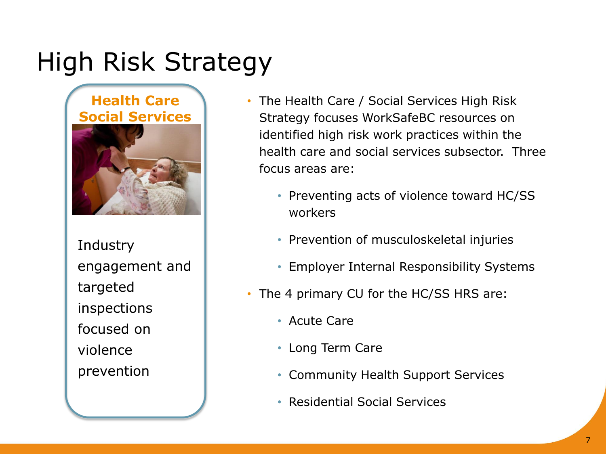# High Risk Strategy

#### **Health Care Social Services**



**Industry** engagement and targeted inspections focused on violence prevention

- The Health Care / Social Services High Risk Strategy focuses WorkSafeBC resources on identified high risk work practices within the health care and social services subsector. Three focus areas are:
	- Preventing acts of violence toward HC/SS workers
	- Prevention of musculoskeletal injuries
	- Employer Internal Responsibility Systems
- The 4 primary CU for the HC/SS HRS are:
	- Acute Care
	- Long Term Care
	- Community Health Support Services
	- Residential Social Services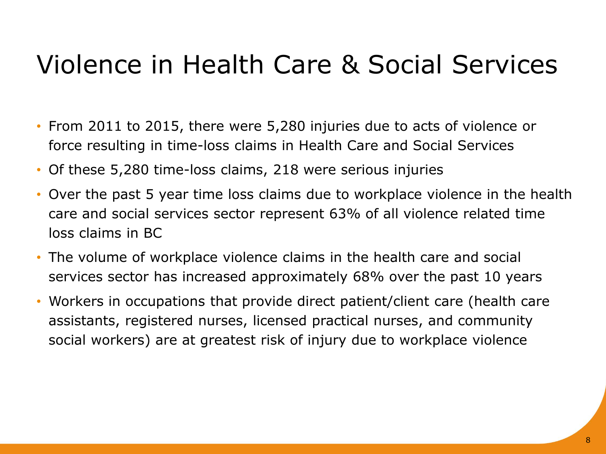# Violence in Health Care & Social Services

- From 2011 to 2015, there were 5,280 injuries due to acts of violence or force resulting in time-loss claims in Health Care and Social Services
- Of these 5,280 time-loss claims, 218 were serious injuries
- Over the past 5 year time loss claims due to workplace violence in the health care and social services sector represent 63% of all violence related time loss claims in BC
- The volume of workplace violence claims in the health care and social services sector has increased approximately 68% over the past 10 years
- Workers in occupations that provide direct patient/client care (health care assistants, registered nurses, licensed practical nurses, and community social workers) are at greatest risk of injury due to workplace violence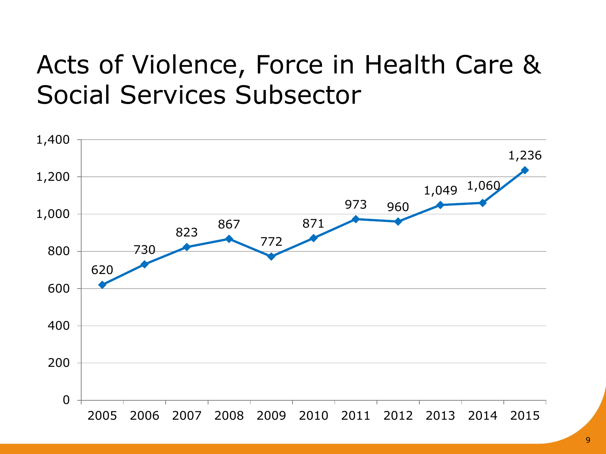## Acts of Violence, Force in Health Care & Social Services Subsector